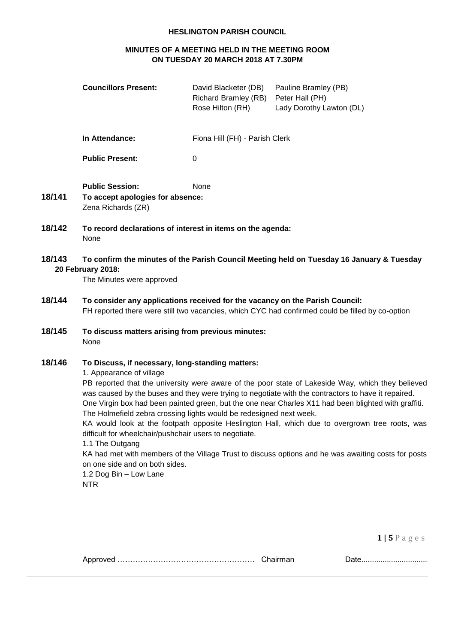#### **HESLINGTON PARISH COUNCIL**

# **MINUTES OF A MEETING HELD IN THE MEETING ROOM ON TUESDAY 20 MARCH 2018 AT 7.30PM**

| <b>Councillors Present:</b> | David Blacketer (DB)<br>Richard Bramley (RB)<br>Rose Hilton (RH) | Pauline Bramley (PB)<br>Peter Hall (PH)<br>Lady Dorothy Lawton (DL) |
|-----------------------------|------------------------------------------------------------------|---------------------------------------------------------------------|
| In Attendance:              | Fiona Hill (FH) - Parish Clerk                                   |                                                                     |
| <b>Public Present:</b>      | 0                                                                |                                                                     |

- **Public Session:** None **18/141 To accept apologies for absence:** Zena Richards (ZR)
- **18/142 To record declarations of interest in items on the agenda:** None

# **18/143 To confirm the minutes of the Parish Council Meeting held on Tuesday 16 January & Tuesday 20 February 2018:**

The Minutes were approved

- **18/144 To consider any applications received for the vacancy on the Parish Council:** FH reported there were still two vacancies, which CYC had confirmed could be filled by co-option
- **18/145 To discuss matters arising from previous minutes:** None

### **18/146 To Discuss, if necessary, long-standing matters:**

1. Appearance of village

PB reported that the university were aware of the poor state of Lakeside Way, which they believed was caused by the buses and they were trying to negotiate with the contractors to have it repaired. One Virgin box had been painted green, but the one near Charles X11 had been blighted with graffiti.

The Holmefield zebra crossing lights would be redesigned next week.

KA would look at the footpath opposite Heslington Hall, which due to overgrown tree roots, was difficult for wheelchair/pushchair users to negotiate.

#### 1.1 The Outgang

KA had met with members of the Village Trust to discuss options and he was awaiting costs for posts on one side and on both sides.

1.2 Dog Bin – Low Lane NTR

**1 | 5** P a g e s

|  | Chairman |
|--|----------|
|--|----------|

Approved ……………………………………………… Chairman Date...............................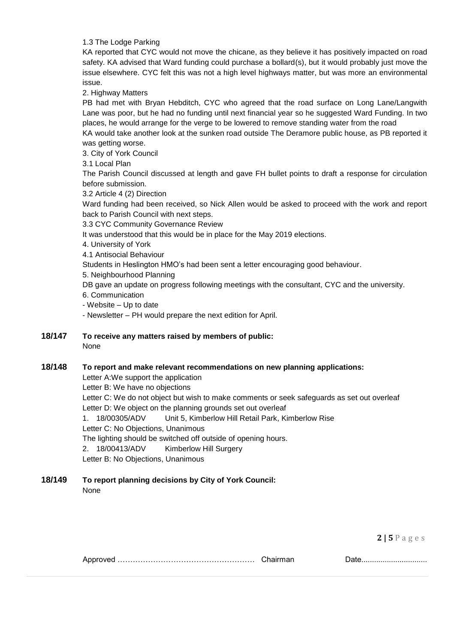1.3 The Lodge Parking

KA reported that CYC would not move the chicane, as they believe it has positively impacted on road safety. KA advised that Ward funding could purchase a bollard(s), but it would probably just move the issue elsewhere. CYC felt this was not a high level highways matter, but was more an environmental issue.

2. Highway Matters

PB had met with Bryan Hebditch, CYC who agreed that the road surface on Long Lane/Langwith Lane was poor, but he had no funding until next financial year so he suggested Ward Funding. In two places, he would arrange for the verge to be lowered to remove standing water from the road

KA would take another look at the sunken road outside The Deramore public house, as PB reported it was getting worse.

3. City of York Council

3.1 Local Plan

The Parish Council discussed at length and gave FH bullet points to draft a response for circulation before submission.

3.2 Article 4 (2) Direction

Ward funding had been received, so Nick Allen would be asked to proceed with the work and report back to Parish Council with next steps.

3.3 CYC Community Governance Review

It was understood that this would be in place for the May 2019 elections.

4. University of York

4.1 Antisocial Behaviour

Students in Heslington HMO's had been sent a letter encouraging good behaviour.

5. Neighbourhood Planning

DB gave an update on progress following meetings with the consultant, CYC and the university.

6. Communication

- Website – Up to date

- Newsletter – PH would prepare the next edition for April.

**18/147 To receive any matters raised by members of public:**  None

### **18/148 To report and make relevant recommendations on new planning applications:**

Letter A:We support the application Letter B: We have no objections

Letter C: We do not object but wish to make comments or seek safeguards as set out overleaf Letter D: We object on the planning grounds set out overleaf

1. 18/00305/ADV Unit 5, Kimberlow Hill Retail Park, Kimberlow Rise

Letter C: No Objections, Unanimous

The lighting should be switched off outside of opening hours.

2. 18/00413/ADV Kimberlow Hill Surgery

Letter B: No Objections, Unanimous

# **18/149 To report planning decisions by City of York Council:**

None

**2 | 5** P a g e s

Approved ……………………………………………… Chairman Date...............................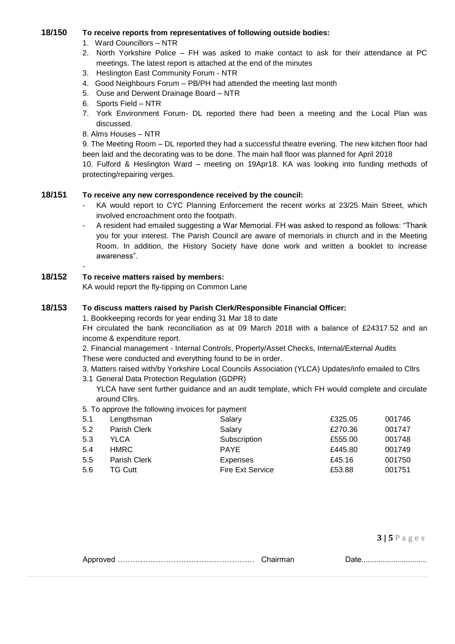#### **18/150 To receive reports from representatives of following outside bodies:**

- 1. Ward Councillors NTR
- 2. North Yorkshire Police FH was asked to make contact to ask for their attendance at PC meetings. The latest report is attached at the end of the minutes
- 3. Heslington East Community Forum NTR
- 4. Good Neighbours Forum PB/PH had attended the meeting last month
- 5. Ouse and Derwent Drainage Board NTR
- 6. Sports Field NTR
- 7. York Environment Forum- DL reported there had been a meeting and the Local Plan was discussed.
- 8. Alms Houses NTR

9. The Meeting Room – DL reported they had a successful theatre evening. The new kitchen floor had been laid and the decorating was to be done. The main hall floor was planned for April 2018

10. Fulford & Heslington Ward – meeting on 19Apr18. KA was looking into funding methods of protecting/repairing verges.

### **18/151 To receive any new correspondence received by the council:**

- KA would report to CYC Planning Enforcement the recent works at 23/25 Main Street, which involved encroachment onto the footpath.
- A resident had emailed suggesting a War Memorial. FH was asked to respond as follows: "Thank you for your interest. The Parish Council are aware of memorials in church and in the Meeting Room. In addition, the History Society have done work and written a booklet to increase awareness".

### **18/152 To receive matters raised by members:**

-

KA would report the fly-tipping on Common Lane

## **18/153 To discuss matters raised by Parish Clerk/Responsible Financial Officer:**

1. Bookkeeping records for year ending 31 Mar 18 to date

FH circulated the bank reconciliation as at 09 March 2018 with a balance of £24317.52 and an income & expenditure report.

2. Financial management - Internal Controls, Property/Asset Checks, Internal/External Audits These were conducted and everything found to be in order.

- 3. Matters raised with/by Yorkshire Local Councils Association (YLCA) Updates/info emailed to Cllrs
- 3.1 General Data Protection Regulation (GDPR)

YLCA have sent further guidance and an audit template, which FH would complete and circulate around Cllrs.

5. To approve the following invoices for payment

| 5.1 | Lengthsman   | Salary                  | £325.05 | 001746 |
|-----|--------------|-------------------------|---------|--------|
| 5.2 | Parish Clerk | Salary                  | £270.36 | 001747 |
| 5.3 | YLCA         | Subscription            | £555.00 | 001748 |
| 5.4 | HMRC         | <b>PAYE</b>             | £445.80 | 001749 |
| 5.5 | Parish Clerk | Expenses                | £45.16  | 001750 |
| 5.6 | TG Cutt      | <b>Fire Ext Service</b> | £53.88  | 001751 |

**3 | 5** P a g e s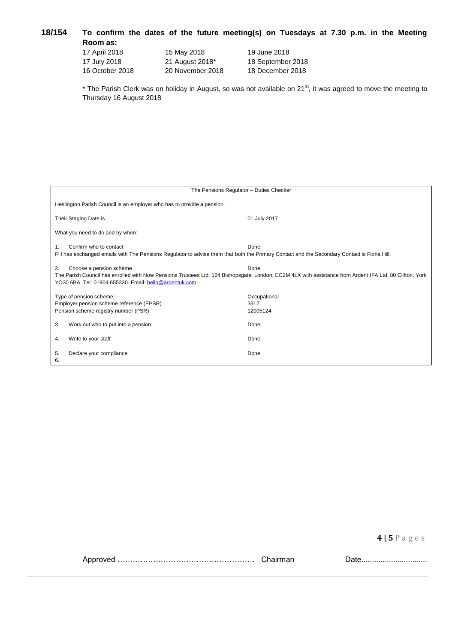### **18/154 To confirm the dates of the future meeting(s) on Tuesdays at 7.30 p.m. in the Meeting Room as:** 17 April 2018 15 May 2018 19 June 2018 er 2018

| 17 April 2018   | 15 May 2018      | 19 June 2018      |
|-----------------|------------------|-------------------|
| 17 July 2018    | 21 August 2018*  | 18 September 2018 |
| 16 October 2018 | 20 November 2018 | 18 December 2018  |

\* The Parish Clerk was on holiday in August, so was not available on 21<sup>st</sup>, it was agreed to move the meeting to Thursday 16 August 2018

| The Pensions Regulator - Duties Checker                                                                                                                                                                                                                    |                                  |  |  |
|------------------------------------------------------------------------------------------------------------------------------------------------------------------------------------------------------------------------------------------------------------|----------------------------------|--|--|
| Heslington Parish Council is an employer who has to provide a pension.                                                                                                                                                                                     |                                  |  |  |
| Their Staging Date is                                                                                                                                                                                                                                      | 01 July 2017                     |  |  |
| What you need to do and by when:                                                                                                                                                                                                                           |                                  |  |  |
| Confirm who to contact<br>$\mathbf{1}$ .<br>FH has exchanged emails with The Pensions Regulator to advise them that both the Primary Contact and the Secondary Contact is Fiona Hill.                                                                      | Done                             |  |  |
| Choose a pension scheme<br>Done<br>2.<br>The Parish Council has enrolled with Now Pensions Trustees Ltd, 164 Bishopsgate, London, EC2M 4LX with assistance from Ardent IFA Ltd, 80 Clifton, York<br>YO30 6BA. Tel: 01904 655330. Email: hello@ardentuk.com |                                  |  |  |
| Type of pension scheme:<br>Employer pension scheme reference (EPSR)<br>Pension scheme registry number (PSR)                                                                                                                                                | Occupational<br>35LZ<br>12005124 |  |  |
| 3.<br>Work out who to put into a pension                                                                                                                                                                                                                   | Done                             |  |  |
| Write to your staff<br>4.                                                                                                                                                                                                                                  | Done                             |  |  |
| 5.<br>Declare your compliance<br>6.                                                                                                                                                                                                                        | Done                             |  |  |

**4 | 5** P a g e s

| An |  |
|----|--|
|    |  |